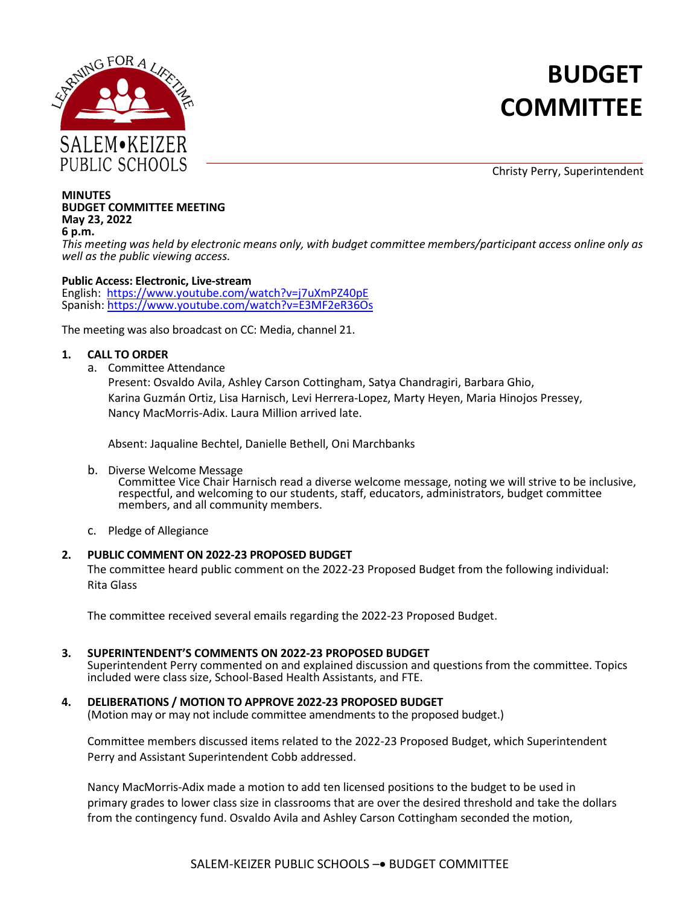

# **BUDGET COMMITTEE**

Christy Perry, Superintendent

#### **MINUTES BUDGET COMMITTEE MEETING May 23, 2022 6 p.m.**

*This meeting was held by electronic means only, with budget committee members/participant access online only as well as the public viewing access.*

### **Public Access: Electronic, Live-stream**

English: [https://www.youtube.com/watch?v=j7uXmPZ40pE](https://nam02.safelinks.protection.outlook.com/?url=https%3A%2F%2Fwww.youtube.com%2Fwatch%3Fv%3Dj7uXmPZ40pE&data=05%7C01%7Cherbel_amanda%40salkeiz.k12.or.us%7C9efa7695df82453501da08da23a14d40%7C4576c5d9511647a380c9cc3eee950210%7C0%7C0%7C637861472945325800%7CUnknown%7CTWFpbGZsb3d8eyJWIjoiMC4wLjAwMDAiLCJQIjoiV2luMzIiLCJBTiI6Ik1haWwiLCJXVCI6Mn0%3D%7C3000%7C%7C%7C&sdata=09UDuRcYF752nKxAWM9d62J3KVVyQDI6ln2A1I8tpNE%3D&reserved=0) Spanish: [https://www.youtube.com/watch?v=E3MF2eR36Os](https://nam02.safelinks.protection.outlook.com/?url=https%3A%2F%2Fwww.youtube.com%2Fwatch%3Fv%3DE3MF2eR36Os&data=05%7C01%7Cherbel_amanda%40salkeiz.k12.or.us%7C9efa7695df82453501da08da23a14d40%7C4576c5d9511647a380c9cc3eee950210%7C0%7C0%7C637861472945325800%7CUnknown%7CTWFpbGZsb3d8eyJWIjoiMC4wLjAwMDAiLCJQIjoiV2luMzIiLCJBTiI6Ik1haWwiLCJXVCI6Mn0%3D%7C3000%7C%7C%7C&sdata=64RZ2uh0YzHGBi%2FYRFlBAObYWPIqIGXG2wKw02bJ9xU%3D&reserved=0)

The meeting was also broadcast on CC: Media, channel 21.

# **1. CALL TO ORDER**

a. Committee Attendance

Present: Osvaldo Avila, Ashley Carson Cottingham, Satya Chandragiri, Barbara Ghio, Karina Guzmán Ortiz, Lisa Harnisch, Levi Herrera-Lopez, Marty Heyen, Maria Hinojos Pressey, Nancy MacMorris-Adix. Laura Million arrived late.

Absent: Jaqualine Bechtel, Danielle Bethell, Oni Marchbanks

b. Diverse Welcome Message

Committee Vice Chair Harnisch read a diverse welcome message, noting we will strive to be inclusive, respectful, and welcoming to our students, staff, educators, administrators, budget committee members, and all community members.

c. Pledge of Allegiance

# **2. PUBLIC COMMENT ON 2022-23 PROPOSED BUDGET**

The committee heard public comment on the 2022-23 Proposed Budget from the following individual: Rita Glass

The committee received several emails regarding the 2022-23 Proposed Budget.

# **3. SUPERINTENDENT'S COMMENTS ON 2022-23 PROPOSED BUDGET**

Superintendent Perry commented on and explained discussion and questions from the committee. Topics included were class size, School-Based Health Assistants, and FTE.

**4. DELIBERATIONS / MOTION TO APPROVE 2022-23 PROPOSED BUDGET** (Motion may or may not include committee amendments to the proposed budget.)

Committee members discussed items related to the 2022-23 Proposed Budget, which Superintendent Perry and Assistant Superintendent Cobb addressed.

Nancy MacMorris-Adix made a motion to add ten licensed positions to the budget to be used in primary grades to lower class size in classrooms that are over the desired threshold and take the dollars from the contingency fund. Osvaldo Avila and Ashley Carson Cottingham seconded the motion,